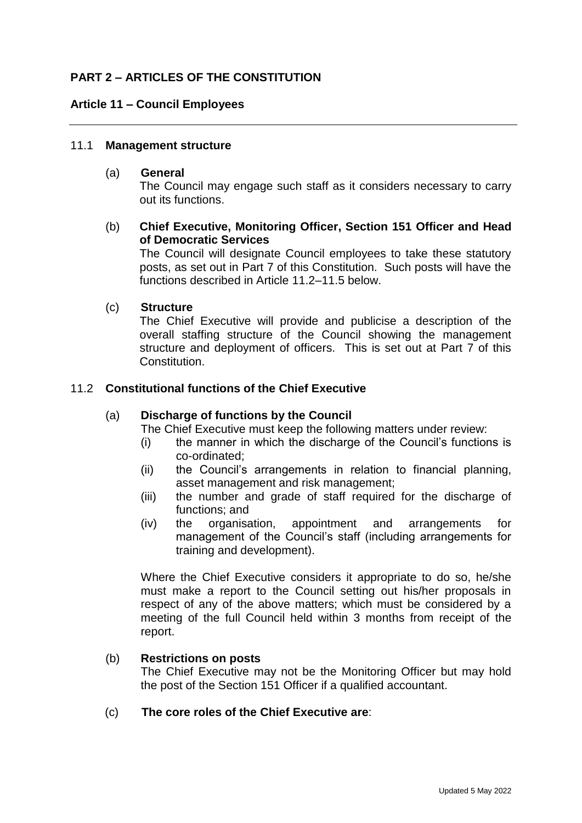# **PART 2 – ARTICLES OF THE CONSTITUTION**

### **Article 11 – Council Employees**

#### 11.1 **Management structure**

#### (a) **General**

The Council may engage such staff as it considers necessary to carry out its functions.

### (b) **Chief Executive, Monitoring Officer, Section 151 Officer and Head of Democratic Services**

The Council will designate Council employees to take these statutory posts, as set out in Part 7 of this Constitution. Such posts will have the functions described in Article 11.2–11.5 below

### (c) **Structure**

The Chief Executive will provide and publicise a description of the overall staffing structure of the Council showing the management structure and deployment of officers. This is set out at Part 7 of this Constitution.

### 11.2 **Constitutional functions of the Chief Executive**

#### (a) **Discharge of functions by the Council**

The Chief Executive must keep the following matters under review:

- (i) the manner in which the discharge of the Council's functions is co-ordinated;
- (ii) the Council's arrangements in relation to financial planning, asset management and risk management;
- (iii) the number and grade of staff required for the discharge of functions; and
- (iv) the organisation, appointment and arrangements for management of the Council's staff (including arrangements for training and development).

Where the Chief Executive considers it appropriate to do so, he/she must make a report to the Council setting out his/her proposals in respect of any of the above matters; which must be considered by a meeting of the full Council held within 3 months from receipt of the report.

#### (b) **Restrictions on posts**

The Chief Executive may not be the Monitoring Officer but may hold the post of the Section 151 Officer if a qualified accountant.

### (c) **The core roles of the Chief Executive are**: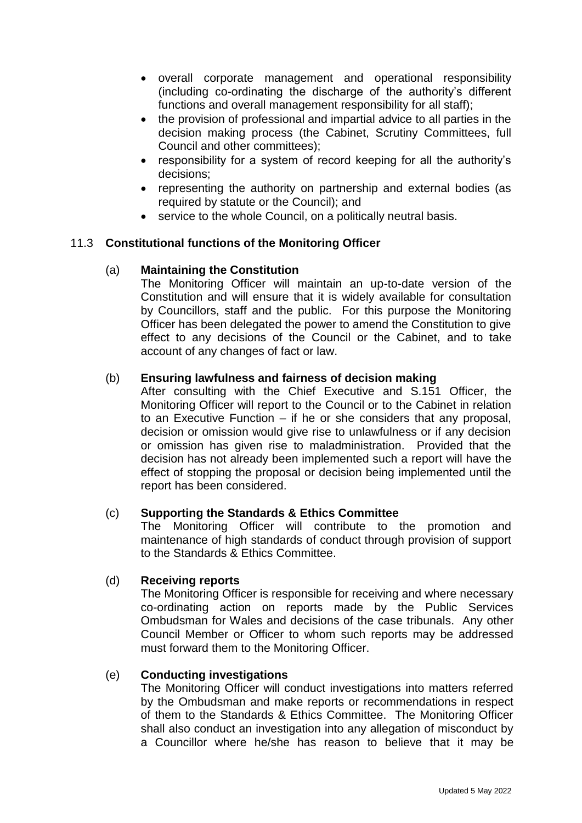- overall corporate management and operational responsibility (including co-ordinating the discharge of the authority's different functions and overall management responsibility for all staff);
- the provision of professional and impartial advice to all parties in the decision making process (the Cabinet, Scrutiny Committees, full Council and other committees);
- responsibility for a system of record keeping for all the authority's decisions;
- representing the authority on partnership and external bodies (as required by statute or the Council); and
- service to the whole Council, on a politically neutral basis.

# 11.3 **Constitutional functions of the Monitoring Officer**

# (a) **Maintaining the Constitution**

The Monitoring Officer will maintain an up-to-date version of the Constitution and will ensure that it is widely available for consultation by Councillors, staff and the public. For this purpose the Monitoring Officer has been delegated the power to amend the Constitution to give effect to any decisions of the Council or the Cabinet, and to take account of any changes of fact or law.

# (b) **Ensuring lawfulness and fairness of decision making**

After consulting with the Chief Executive and S.151 Officer, the Monitoring Officer will report to the Council or to the Cabinet in relation to an Executive Function – if he or she considers that any proposal, decision or omission would give rise to unlawfulness or if any decision or omission has given rise to maladministration. Provided that the decision has not already been implemented such a report will have the effect of stopping the proposal or decision being implemented until the report has been considered.

# (c) **Supporting the Standards & Ethics Committee**

The Monitoring Officer will contribute to the promotion and maintenance of high standards of conduct through provision of support to the Standards & Ethics Committee.

# (d) **Receiving reports**

The Monitoring Officer is responsible for receiving and where necessary co-ordinating action on reports made by the Public Services Ombudsman for Wales and decisions of the case tribunals. Any other Council Member or Officer to whom such reports may be addressed must forward them to the Monitoring Officer.

# (e) **Conducting investigations**

The Monitoring Officer will conduct investigations into matters referred by the Ombudsman and make reports or recommendations in respect of them to the Standards & Ethics Committee. The Monitoring Officer shall also conduct an investigation into any allegation of misconduct by a Councillor where he/she has reason to believe that it may be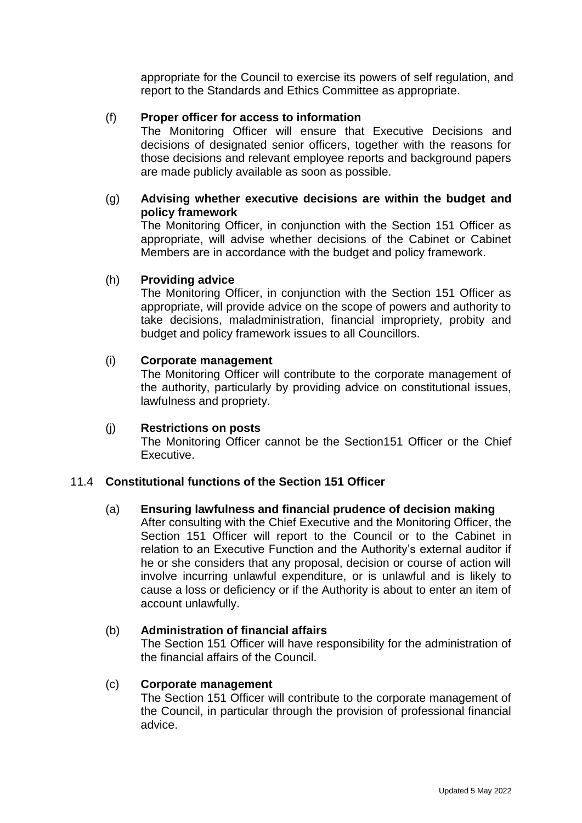appropriate for the Council to exercise its powers of self regulation, and report to the Standards and Ethics Committee as appropriate.

# (f) **Proper officer for access to information**

The Monitoring Officer will ensure that Executive Decisions and decisions of designated senior officers, together with the reasons for those decisions and relevant employee reports and background papers are made publicly available as soon as possible.

# (g) **Advising whether executive decisions are within the budget and policy framework**

The Monitoring Officer, in conjunction with the Section 151 Officer as appropriate, will advise whether decisions of the Cabinet or Cabinet Members are in accordance with the budget and policy framework.

# (h) **Providing advice**

The Monitoring Officer, in conjunction with the Section 151 Officer as appropriate, will provide advice on the scope of powers and authority to take decisions, maladministration, financial impropriety, probity and budget and policy framework issues to all Councillors.

### (i) **Corporate management**

The Monitoring Officer will contribute to the corporate management of the authority, particularly by providing advice on constitutional issues, lawfulness and propriety.

# (j) **Restrictions on posts**

The Monitoring Officer cannot be the Section151 Officer or the Chief Executive.

# 11.4 **Constitutional functions of the Section 151 Officer**

# (a) **Ensuring lawfulness and financial prudence of decision making**

After consulting with the Chief Executive and the Monitoring Officer, the Section 151 Officer will report to the Council or to the Cabinet in relation to an Executive Function and the Authority's external auditor if he or she considers that any proposal, decision or course of action will involve incurring unlawful expenditure, or is unlawful and is likely to cause a loss or deficiency or if the Authority is about to enter an item of account unlawfully.

# (b) **Administration of financial affairs**

The Section 151 Officer will have responsibility for the administration of the financial affairs of the Council.

#### (c) **Corporate management**

The Section 151 Officer will contribute to the corporate management of the Council, in particular through the provision of professional financial advice.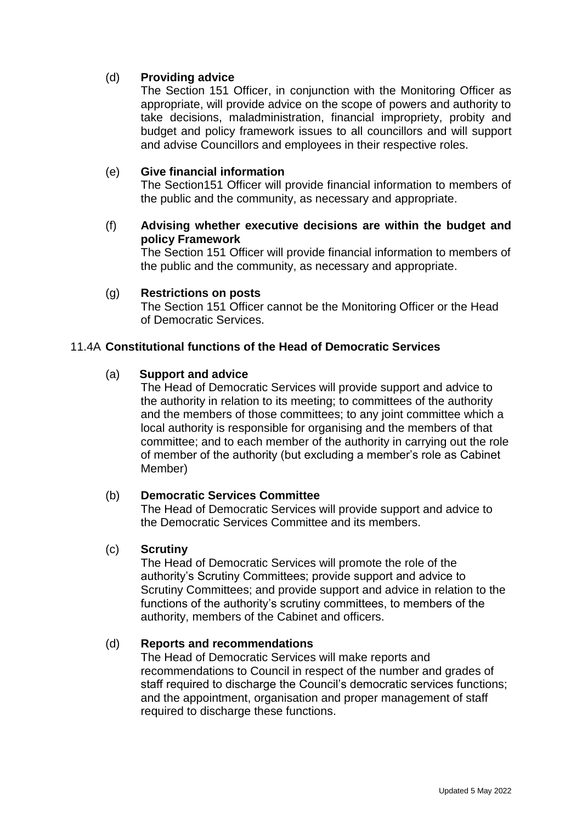# (d) **Providing advice**

The Section 151 Officer, in conjunction with the Monitoring Officer as appropriate, will provide advice on the scope of powers and authority to take decisions, maladministration, financial impropriety, probity and budget and policy framework issues to all councillors and will support and advise Councillors and employees in their respective roles.

### (e) **Give financial information**

The Section151 Officer will provide financial information to members of the public and the community, as necessary and appropriate.

# (f) **Advising whether executive decisions are within the budget and policy Framework**

The Section 151 Officer will provide financial information to members of the public and the community, as necessary and appropriate.

### (g) **Restrictions on posts**

The Section 151 Officer cannot be the Monitoring Officer or the Head of Democratic Services.

### 11.4A **Constitutional functions of the Head of Democratic Services**

### (a) **Support and advice**

The Head of Democratic Services will provide support and advice to the authority in relation to its meeting; to committees of the authority and the members of those committees; to any joint committee which a local authority is responsible for organising and the members of that committee; and to each member of the authority in carrying out the role of member of the authority (but excluding a member's role as Cabinet Member)

#### (b) **Democratic Services Committee**

The Head of Democratic Services will provide support and advice to the Democratic Services Committee and its members.

#### (c) **Scrutiny**

The Head of Democratic Services will promote the role of the authority's Scrutiny Committees; provide support and advice to Scrutiny Committees; and provide support and advice in relation to the functions of the authority's scrutiny committees, to members of the authority, members of the Cabinet and officers.

#### (d) **Reports and recommendations**

The Head of Democratic Services will make reports and recommendations to Council in respect of the number and grades of staff required to discharge the Council's democratic services functions; and the appointment, organisation and proper management of staff required to discharge these functions.